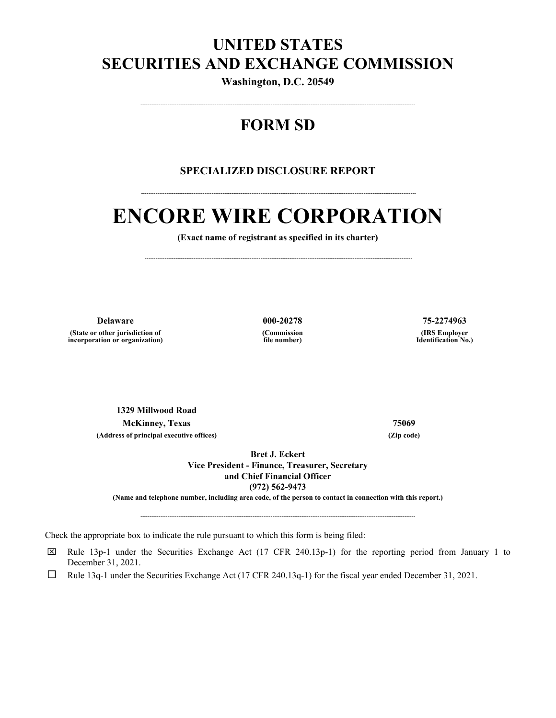## **UNITED STATES SECURITIES AND EXCHANGE COMMISSION**

**Washington, D.C. 20549** 

## **FORM SD**

--------------------------------------------------------------------------------------------------------------------------------------------------------

### **SPECIALIZED DISCLOSURE REPORT**

--------------------------------------------------------------------------------------------------------------------------------------------------------

--------------------------------------------------------------------------------------------------------------------------------------------------------

# **ENCORE WIRE CORPORATION**

**(Exact name of registrant as specified in its charter)** 

----------------------------------------------------------------------------------------------------------------------------------------------------

**(State or other jurisdiction of incorporation or organization)** **(Commission file number)**

**Delaware 000-20278 75-2274963 (IRS Employer Identification No.)**

**1329 Millwood Road McKinney, Texas 75069 (Address of principal executive offices) (Zip code)**

**Bret J. Eckert Vice President - Finance, Treasurer, Secretary and Chief Financial Officer (972) 562-9473** 

**(Name and telephone number, including area code, of the person to contact in connection with this report.)** 

--------------------------------------------------------------------------------------------------------------------------------------------------------

Check the appropriate box to indicate the rule pursuant to which this form is being filed:

 $\boxtimes$  Rule 13p-1 under the Securities Exchange Act (17 CFR 240.13p-1) for the reporting period from January 1 to December 31, 2021.

□ Rule 13q-1 under the Securities Exchange Act (17 CFR 240.13q-1) for the fiscal year ended December 31, 2021.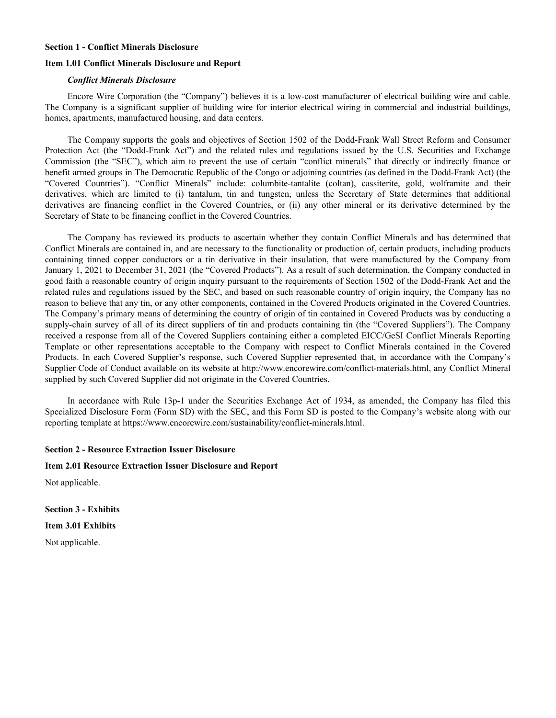#### **Section 1 - Conflict Minerals Disclosure**

#### **Item 1.01 Conflict Minerals Disclosure and Report**

#### *Conflict Minerals Disclosure*

Encore Wire Corporation (the "Company") believes it is a low-cost manufacturer of electrical building wire and cable. The Company is a significant supplier of building wire for interior electrical wiring in commercial and industrial buildings, homes, apartments, manufactured housing, and data centers.

The Company supports the goals and objectives of Section 1502 of the Dodd-Frank Wall Street Reform and Consumer Protection Act (the "Dodd-Frank Act") and the related rules and regulations issued by the U.S. Securities and Exchange Commission (the "SEC"), which aim to prevent the use of certain "conflict minerals" that directly or indirectly finance or benefit armed groups in The Democratic Republic of the Congo or adjoining countries (as defined in the Dodd-Frank Act) (the "Covered Countries"). "Conflict Minerals" include: columbite-tantalite (coltan), cassiterite, gold, wolframite and their derivatives, which are limited to (i) tantalum, tin and tungsten, unless the Secretary of State determines that additional derivatives are financing conflict in the Covered Countries, or (ii) any other mineral or its derivative determined by the Secretary of State to be financing conflict in the Covered Countries.

The Company has reviewed its products to ascertain whether they contain Conflict Minerals and has determined that Conflict Minerals are contained in, and are necessary to the functionality or production of, certain products, including products containing tinned copper conductors or a tin derivative in their insulation, that were manufactured by the Company from January 1, 2021 to December 31, 2021 (the "Covered Products"). As a result of such determination, the Company conducted in good faith a reasonable country of origin inquiry pursuant to the requirements of Section 1502 of the Dodd-Frank Act and the related rules and regulations issued by the SEC, and based on such reasonable country of origin inquiry, the Company has no reason to believe that any tin, or any other components, contained in the Covered Products originated in the Covered Countries. The Company's primary means of determining the country of origin of tin contained in Covered Products was by conducting a supply-chain survey of all of its direct suppliers of tin and products containing tin (the "Covered Suppliers"). The Company received a response from all of the Covered Suppliers containing either a completed EICC/GeSI Conflict Minerals Reporting Template or other representations acceptable to the Company with respect to Conflict Minerals contained in the Covered Products. In each Covered Supplier's response, such Covered Supplier represented that, in accordance with the Company's Supplier Code of Conduct available on its website at http://www.encorewire.com/conflict-materials.html, any Conflict Mineral supplied by such Covered Supplier did not originate in the Covered Countries.

In accordance with Rule 13p-1 under the Securities Exchange Act of 1934, as amended, the Company has filed this Specialized Disclosure Form (Form SD) with the SEC, and this Form SD is posted to the Company's website along with our reporting template at https://www.encorewire.com/sustainability/conflict-minerals.html.

#### **Section 2 - Resource Extraction Issuer Disclosure**

#### **Item 2.01 Resource Extraction Issuer Disclosure and Report**

Not applicable.

**Section 3 - Exhibits Item 3.01 Exhibits**  Not applicable.